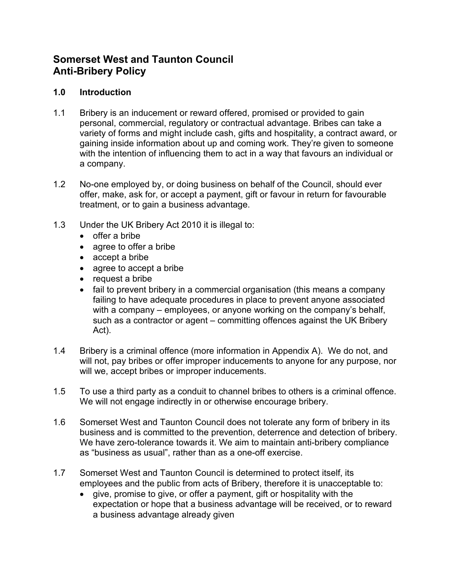# **Somerset West and Taunton Council Anti-Bribery Policy**

## **1.0 Introduction**

- 1.1 Bribery is an inducement or reward offered, promised or provided to gain personal, commercial, regulatory or contractual advantage. Bribes can take a variety of forms and might include cash, gifts and hospitality, a contract award, or gaining inside information about up and coming work. They're given to someone with the intention of influencing them to act in a way that favours an individual or a company.
- 1.2 No-one employed by, or doing business on behalf of the Council, should ever offer, make, ask for, or accept a payment, gift or favour in return for favourable treatment, or to gain a business advantage.
- 1.3 Under the UK Bribery Act 2010 it is illegal to:
	- offer a bribe
	- agree to offer a bribe
	- accept a bribe
	- agree to accept a bribe
	- request a bribe
	- fail to prevent bribery in a commercial organisation (this means a company failing to have adequate procedures in place to prevent anyone associated with a company – employees, or anyone working on the company's behalf, such as a contractor or agent – committing offences against the UK Bribery Act).
- 1.4 Bribery is a criminal offence (more information in Appendix A). We do not, and will not, pay bribes or offer improper inducements to anyone for any purpose, nor will we, accept bribes or improper inducements.
- 1.5 To use a third party as a conduit to channel bribes to others is a criminal offence. We will not engage indirectly in or otherwise encourage bribery.
- 1.6 Somerset West and Taunton Council does not tolerate any form of bribery in its business and is committed to the prevention, deterrence and detection of bribery. We have zero-tolerance towards it. We aim to maintain anti-bribery compliance as "business as usual", rather than as a one-off exercise.
- 1.7 Somerset West and Taunton Council is determined to protect itself, its employees and the public from acts of Bribery, therefore it is unacceptable to:
	- give, promise to give, or offer a payment, gift or hospitality with the expectation or hope that a business advantage will be received, or to reward a business advantage already given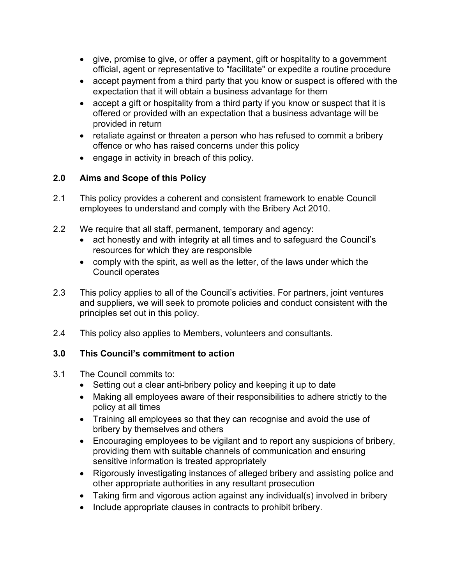- give, promise to give, or offer a payment, gift or hospitality to a government official, agent or representative to "facilitate" or expedite a routine procedure
- accept payment from a third party that you know or suspect is offered with the expectation that it will obtain a business advantage for them
- accept a gift or hospitality from a third party if you know or suspect that it is offered or provided with an expectation that a business advantage will be provided in return
- retaliate against or threaten a person who has refused to commit a bribery offence or who has raised concerns under this policy
- engage in activity in breach of this policy.

# **2.0 Aims and Scope of this Policy**

- 2.1 This policy provides a coherent and consistent framework to enable Council employees to understand and comply with the Bribery Act 2010.
- 2.2 We require that all staff, permanent, temporary and agency:
	- act honestly and with integrity at all times and to safeguard the Council's resources for which they are responsible
	- comply with the spirit, as well as the letter, of the laws under which the Council operates
- 2.3 This policy applies to all of the Council's activities. For partners, joint ventures and suppliers, we will seek to promote policies and conduct consistent with the principles set out in this policy.
- 2.4 This policy also applies to Members, volunteers and consultants.

# **3.0 This Council's commitment to action**

- 3.1 The Council commits to:
	- Setting out a clear anti-bribery policy and keeping it up to date
	- Making all employees aware of their responsibilities to adhere strictly to the policy at all times
	- Training all employees so that they can recognise and avoid the use of bribery by themselves and others
	- Encouraging employees to be vigilant and to report any suspicions of bribery, providing them with suitable channels of communication and ensuring sensitive information is treated appropriately
	- Rigorously investigating instances of alleged bribery and assisting police and other appropriate authorities in any resultant prosecution
	- Taking firm and vigorous action against any individual(s) involved in bribery
	- Include appropriate clauses in contracts to prohibit bribery.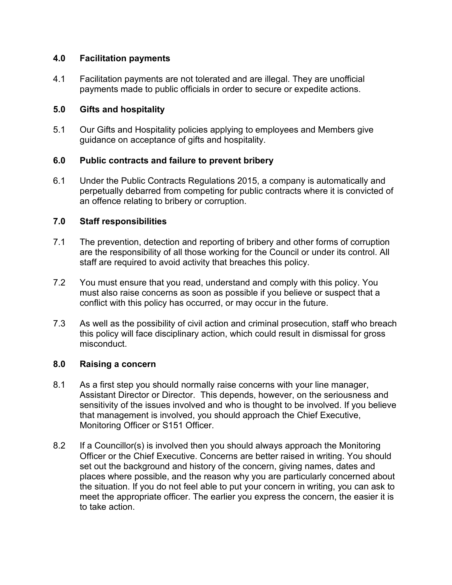### **4.0 Facilitation payments**

4.1 Facilitation payments are not tolerated and are illegal. They are unofficial payments made to public officials in order to secure or expedite actions.

## **5.0 Gifts and hospitality**

5.1 Our Gifts and Hospitality policies applying to employees and Members give guidance on acceptance of gifts and hospitality.

# **6.0 Public contracts and failure to prevent bribery**

6.1 Under the Public Contracts Regulations 2015, a company is automatically and perpetually debarred from competing for public contracts where it is convicted of an offence relating to bribery or corruption.

# **7.0 Staff responsibilities**

- 7.1 The prevention, detection and reporting of bribery and other forms of corruption are the responsibility of all those working for the Council or under its control. All staff are required to avoid activity that breaches this policy.
- 7.2 You must ensure that you read, understand and comply with this policy. You must also raise concerns as soon as possible if you believe or suspect that a conflict with this policy has occurred, or may occur in the future.
- 7.3 As well as the possibility of civil action and criminal prosecution, staff who breach this policy will face disciplinary action, which could result in dismissal for gross misconduct.

# **8.0 Raising a concern**

- 8.1 As a first step you should normally raise concerns with your line manager, Assistant Director or Director. This depends, however, on the seriousness and sensitivity of the issues involved and who is thought to be involved. If you believe that management is involved, you should approach the Chief Executive, Monitoring Officer or S151 Officer.
- 8.2 If a Councillor(s) is involved then you should always approach the Monitoring Officer or the Chief Executive. Concerns are better raised in writing. You should set out the background and history of the concern, giving names, dates and places where possible, and the reason why you are particularly concerned about the situation. If you do not feel able to put your concern in writing, you can ask to meet the appropriate officer. The earlier you express the concern, the easier it is to take action.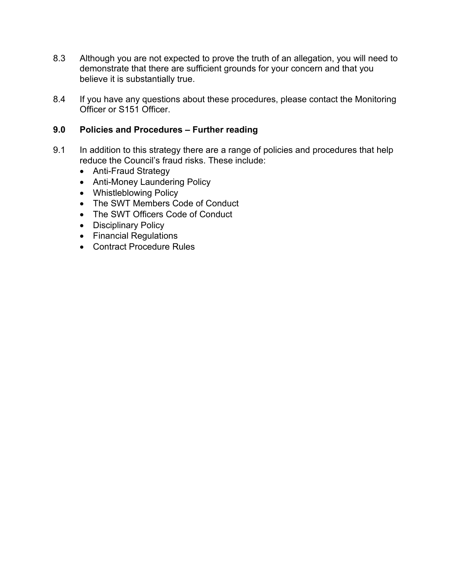- 8.3 Although you are not expected to prove the truth of an allegation, you will need to demonstrate that there are sufficient grounds for your concern and that you believe it is substantially true.
- 8.4 If you have any questions about these procedures, please contact the Monitoring Officer or S151 Officer.

### **9.0 Policies and Procedures – Further reading**

- 9.1 In addition to this strategy there are a range of policies and procedures that help reduce the Council's fraud risks. These include:
	- Anti-Fraud Strategy
	- Anti-Money Laundering Policy
	- Whistleblowing Policy
	- The SWT Members Code of Conduct
	- The SWT Officers Code of Conduct
	- Disciplinary Policy
	- Financial Regulations
	- Contract Procedure Rules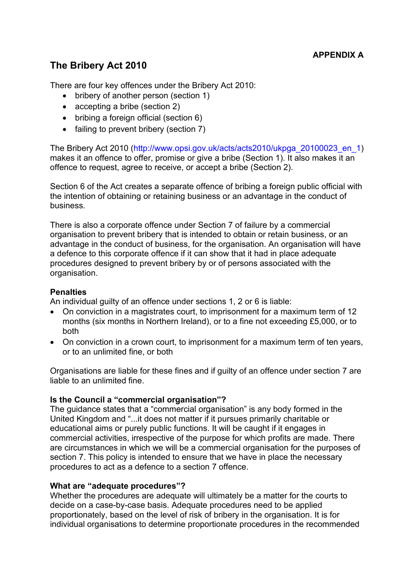# **The Bribery Act 2010**

There are four key offences under the Bribery Act 2010:

- bribery of another person (section 1)
- accepting a bribe (section 2)
- bribing a foreign official (section 6)
- failing to prevent bribery (section 7)

The Bribery Act 2010 (http://www.opsi.gov.uk/acts/acts2010/ukpga\_20100023\_en\_1) makes it an offence to offer, promise or give a bribe (Section 1). It also makes it an offence to request, agree to receive, or accept a bribe (Section 2).

Section 6 of the Act creates a separate offence of bribing a foreign public official with the intention of obtaining or retaining business or an advantage in the conduct of business.

There is also a corporate offence under Section 7 of failure by a commercial organisation to prevent bribery that is intended to obtain or retain business, or an advantage in the conduct of business, for the organisation. An organisation will have a defence to this corporate offence if it can show that it had in place adequate procedures designed to prevent bribery by or of persons associated with the organisation.

## **Penalties**

An individual guilty of an offence under sections 1, 2 or 6 is liable:

- On conviction in a magistrates court, to imprisonment for a maximum term of 12 months (six months in Northern Ireland), or to a fine not exceeding £5,000, or to both
- On conviction in a crown court, to imprisonment for a maximum term of ten years, or to an unlimited fine, or both

Organisations are liable for these fines and if guilty of an offence under section 7 are liable to an unlimited fine.

#### **Is the Council a "commercial organisation"?**

The guidance states that a "commercial organisation" is any body formed in the United Kingdom and "...it does not matter if it pursues primarily charitable or educational aims or purely public functions. It will be caught if it engages in commercial activities, irrespective of the purpose for which profits are made. There are circumstances in which we will be a commercial organisation for the purposes of section 7. This policy is intended to ensure that we have in place the necessary procedures to act as a defence to a section 7 offence.

#### **What are "adequate procedures"?**

Whether the procedures are adequate will ultimately be a matter for the courts to decide on a case-by-case basis. Adequate procedures need to be applied proportionately, based on the level of risk of bribery in the organisation. It is for individual organisations to determine proportionate procedures in the recommended